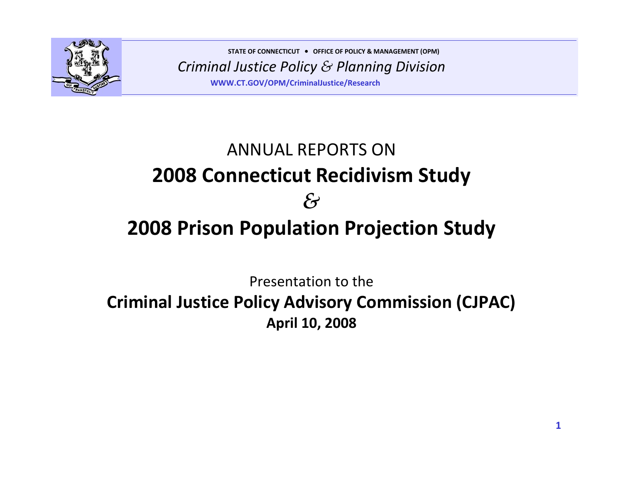

*Criminal Justice Policy & Planning Division* **STATE OF CONNECTICUT** <sup>y</sup> **OFFICE OF POLICY & MANAGEMENT (OPM) WWW.CT.GOV/OPM/CriminalJustice/Research**

# ANNUAL REPORTS ON **2008 Connecticut Recidivism Study** *&***2008 Prison Population Projection Study**

Presentation to the

## **Criminal Justice Policy Advisory Commission (CJPAC) April 10, 2008**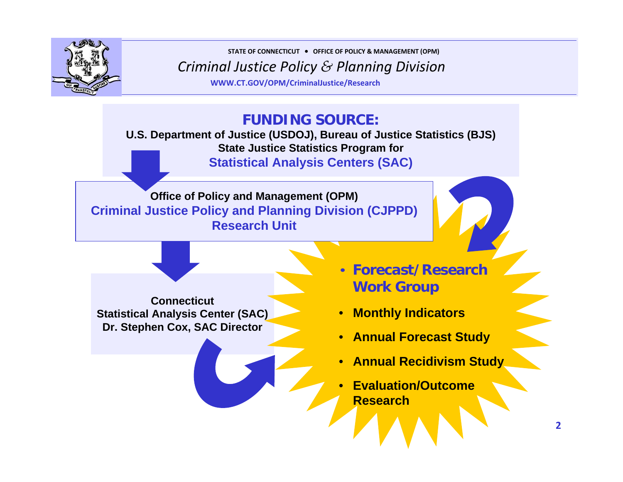

**STATE OF CONNECTICUT** <sup>y</sup> **OFFICE OF POLICY & MANAGEMENT (OPM)**

*Criminal Justice Policy & Planning Division*

**WWW.CT.GOV/OPM/CriminalJustice/Research**

### **FUNDING SOURCE:**

**U.S. Department of Justice (USDOJ), Bureau of Justice Statistics (BJS) State Justice Statistics Program for Statistical Analysis Centers (SAC)**

**Office of Policy and Management (OPM) Criminal Justice Policy and Planning Division (CJPPD) Research Unit**

**ConnecticutStatistical Analysis Center (SAC) Dr. Stephen Cox, SAC Director**

- **Forecast/Research Work Group**
- **Monthly Indicators**
- **Annual Forecast Study**
- **Annual Recidivism Study**
- **Evaluation/Outcome Research**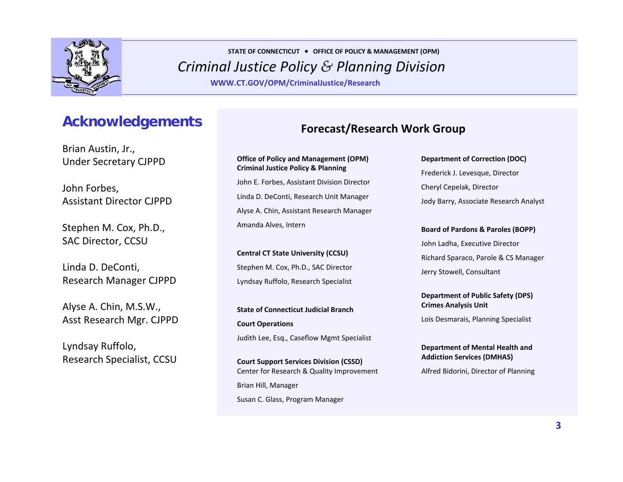

**WWW.CT.GOV/OPM/CriminalJustice/Research**

## **Acknowledgements**

Brian Austin, Jr., Under Secretary CJPPD

John Forbes, Assistant Director CJPPD

Stephen M. Cox, Ph.D., SAC Director, CCSU

Linda D. DeConti, Research Manager CJPPD

Alyse A. Chin, M.S.W., Asst Research Mgr. CJPPD

Lyndsay Ruffolo, Research Specialist, CCSU

### **Forecast/Research Work Group**

**Office of Policy and Management (OPM) Criminal Justice Policy & Planning** John E. Forbes, Assistant Division Director Linda D. DeConti, Research Unit Manager Alyse A. Chin, Assistant Research Manager Amanda Alves, Intern

**Central CT State University (CCSU)** Stephen M. Cox, Ph.D., SAC Director Lyndsay Ruffolo, Research Specialist

**State of Connecticut Judicial BranchCourt Operations** Judith Lee, Esq., Caseflow Mgmt Specialist

**Court Support Services Division (CSSD)** Center for Research & Quality Improvement Brian Hill, Manager Susan C. Glass, Program Manager

**Department of Correction (DOC)** Frederick J. Levesque, Director Cheryl Cepelak, Director Jody Barry, Associate Research Analyst

**Board of Pardons & Paroles (BOPP)** John Ladha, Executive Director Richard Sparaco, Parole & CS Manager Jerry Stowell, Consultant

**Department of Public Safety (DPS) Crimes Analysis Unit**

Lois Desmarais, Planning Specialist

**Department of Mental Health and Addiction Services (DMHAS)**

Alfred Bidorini, Director of Planning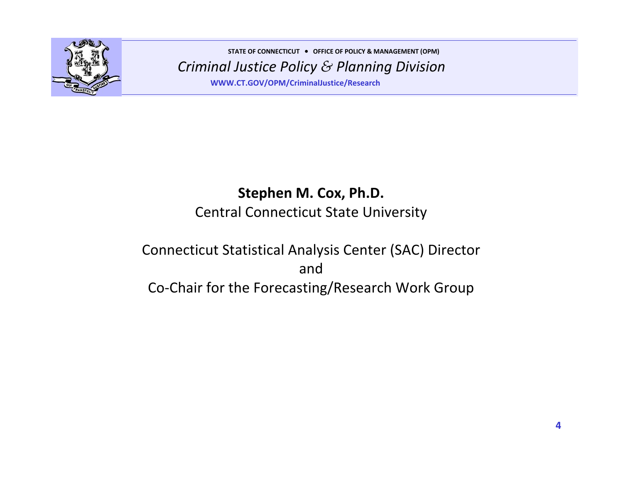

**WWW.CT.GOV/OPM/CriminalJustice/Research**

## **Stephen M. Cox, Ph.D.** Central Connecticut State University

## Connecticut Statistical Analysis Center (SAC) Director andCo‐Chair for the Forecasting/Research Work Group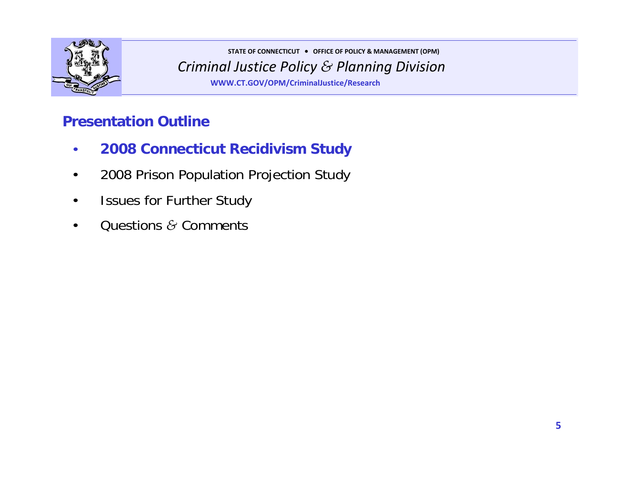

*Criminal Justice Policy & Planning Division* **STATE OF CONNECTICUT** <sup>y</sup> **OFFICE OF POLICY & MANAGEMENT (OPM) WWW.CT.GOV/OPM/CriminalJustice/Research**

## **Presentation Outline**

- **2008 Connecticut Recidivism Study**
- 2008 Prison Population Projection Study
- Issues for Further Study
- Questions *&* Comments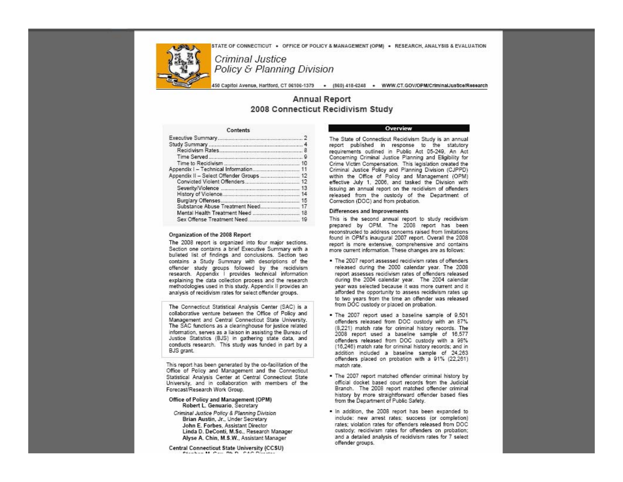STATE OF CONNECTICUT . OFFICE OF POLICY & MANAGEMENT (OPM) . RESEARCH, ANALYSIS & EVALUATION



*Criminal Justice Policy & Planning Division*

**WWW.CT.GOV/OPM/CriminalJustice/Research**

#### **Annual Report** 2008 Connecticut Recidivism Study

#### Contents

| Appendix I - Technical Information 11    |  |
|------------------------------------------|--|
| Appendix II - Select Offender Groups  12 |  |
|                                          |  |
|                                          |  |
|                                          |  |
|                                          |  |
| Substance Abuse Treatment Need 17        |  |
|                                          |  |
|                                          |  |

#### Organization of the 2008 Report

The 2008 report is organized into four major sections. Section one contains a brief Executive Summary with a bulleted list of findings and conclusions. Section two contains a Study Summary with descriptions of the offender study groups followed by the recidivism research. Appendix I provides technical information explaining the data collection process and the research methodologies used in this study. Appendix II provides an analysis of recidivism rates for select offender groups.

The Connecticut Statistical Analysis Center (SAC) is a collaborative venture between the Office of Policy and Management and Central Connecticut State University. The SAC functions as a clearinghouse for justice related information, serves as a liaison in assisting the Bureau of Justice Statistics (BJS) in gathering state data, and conducts research. This study was funded in part by a BJS grant.

This report has been generated by the co-facilitation of the Office of Policy and Management and the Connecticut Statistical Analysis Center at Central Connecticut State University, and in collaboration with members of the Forecast/Research Work Group.

#### Office of Policy and Management (OPM) Robert L. Genuario, Secretary

Criminal Justice Policy & Planning Division Brian Austin, Jr., Under Secretary John E. Forbes, Assistant Director Linda D. DeConti, M.Sc., Research Manager Alyse A. Chin, M.S.W., Assistant Manager

Central Connecticut State University (CCSU)

#### Overview

The State of Connecticut Recidivism Study is an annual report published in response to the statutory requirements outlined in Public Act 05-249, An Act Concerning Criminal Justice Planning and Eligibility for Crime Victim Compensation. This legislation created the Criminal Justice Policy and Planning Division (CJPPD) within the Office of Policy and Management (OPM) effective July 1, 2006, and tasked the Division with issuing an annual report on the recidivism of offenders released from the custody of the Department of Correction (DOC) and from probation.

#### Differences and Improvements

This is the second annual report to study recidivism prepared by OPM. The 2008 report has been reconstructed to address concerns raised from limitations found in OPM's inaugural 2007 report. Overall the 2008 report is more extensive, comprehensive and contains more current information. These changes are as follows:

- . The 2007 report assessed recidivism rates of offenders released during the 2000 calendar year. The 2008 report assesses recidivism rates of offenders released during the 2004 calendar year. The 2004 calendar year was selected because it was more current and it afforded the opportunity to assess recidivism rates up to two years from the time an offender was released from DOC custody or placed on probation.
- . The 2007 report used a baseline sample of 9,501 offenders released from DOC custody with an 87% (8,221) match rate for criminal history records. The 2008 report used a baseline sample of 16,577 offenders released from DOC custody with a 98% (16,246) match rate for criminal history records; and in addition included a baseline sample of 24,263 offenders placed on probation with a 91% (22,261) match rate.
- . The 2007 report matched offender criminal history by official docket based court records from the Judicial Branch. The 2008 report matched offender criminal history by more straightforward offender based files from the Department of Public Safety.
- . In addition, the 2008 report has been expanded to include: new arrest rates; success (or completion) rates; violation rates for offenders released from DOC custody; recidivism rates for offenders on probation; and a detailed analysis of recidivism rates for 7 select offender groups.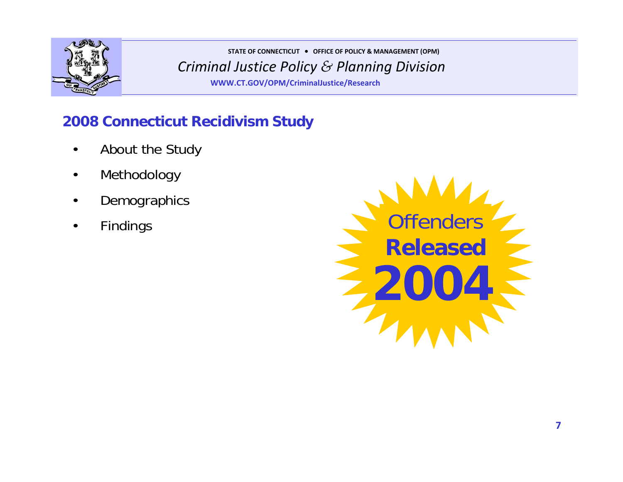

**WWW.CT.GOV/OPM/CriminalJustice/Research**

## **2008 Connecticut Recidivism Study**

- About the Study
- Methodology
- **Demographics**
- Findings

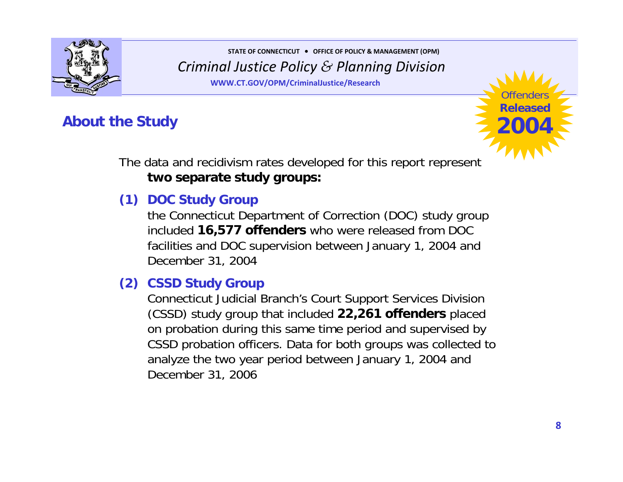

**WWW.CT.GOV/OPM/CriminalJustice/Research**

## **About the Study**



The data and recidivism rates developed for this report represent **two separate study groups:**

## **(1) DOC Study Group**

the Connecticut Department of Correction (DOC) study group included **16,577 offenders** who were released from DOC facilities and DOC supervision between January 1, 2004 and December 31, 2004

### **(2) CSSD Study Group**

Connecticut Judicial Branch's Court Support Services Division (CSSD) study group that included **22,261 offenders** placed on probation during this same time period and supervised by CSSD probation officers. Data for both groups was collected to analyze the two year period between January 1, 2004 and December 31, 2006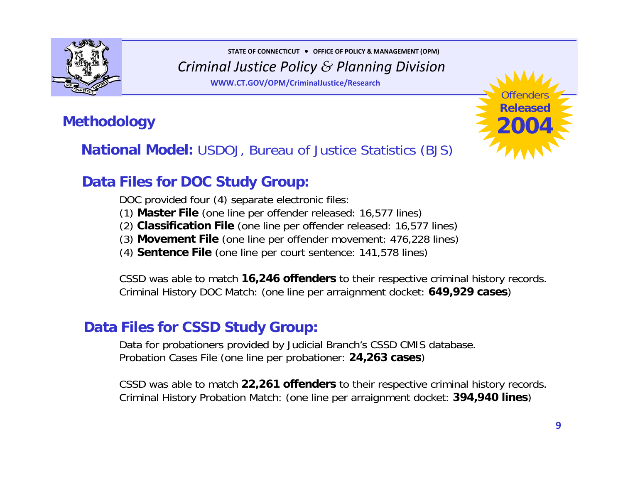

**WWW.CT.GOV/OPM/CriminalJustice/Research**

## **Methodology**

**National Model:** USDOJ, Bureau of Justice Statistics (BJS)

## **Data Files for DOC Study Group:**

DOC provided four (4) separate electronic files:

(1) **Master File** (one line per offender released: 16,577 lines)

(2) **Classification File** (one line per offender released: 16,577 lines)

(3) **Movement File** (one line per offender movement: 476,228 lines)

(4) **Sentence File** (one line per court sentence: 141,578 lines)

CSSD was able to match **16,246 offenders** to their respective criminal history records. Criminal History DOC Match: (one line per arraignment docket: **649,929 cases**)

### **Data Files for CSSD Study Group:**

Data for probationers provided by Judicial Branch's CSSD CMIS database. Probation Cases File (one line per probationer: **24,263 cases**)

CSSD was able to match **22,261 offenders** to their respective criminal history records. Criminal History Probation Match: (one line per arraignment docket: **394,940 lines**)

Offenders**Released**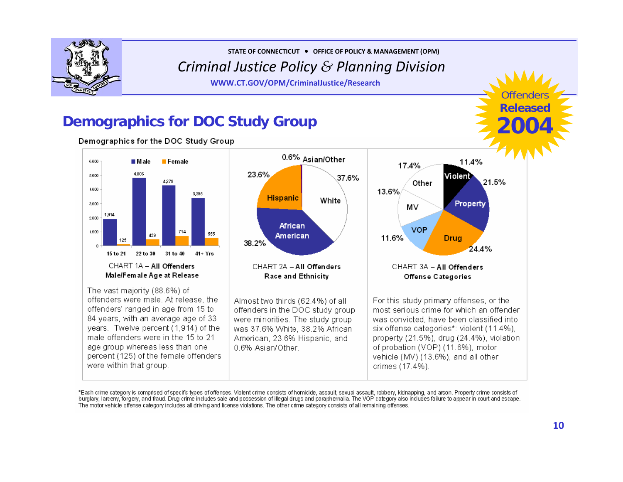

**STATE OF CONNECTICUT** <sup>y</sup> **OFFICE OF POLICY & MANAGEMENT (OPM)**

*Criminal Justice Policy & Planning Division*

**WWW.CT.GOV/OPM/CriminalJustice/Research**

## **Demographics for DOC Study Group**

Demographics for the DOC Study Group



\*Each crime category is comprised of specific types of offenses. Violent crime consists of homicide, assault, sexual assault, robbery, kidnapping, and arson. Property crime consists of burglary, larceny, forgery, and fraud. Drug crime includes sale and possession of illegal drugs and paraphernalia. The VOP category also includes failure to appear in court and escape. The motor vehicle offense category includes all driving and license violations. The other crime category consists of all remaining offenses.

Offenders**Release**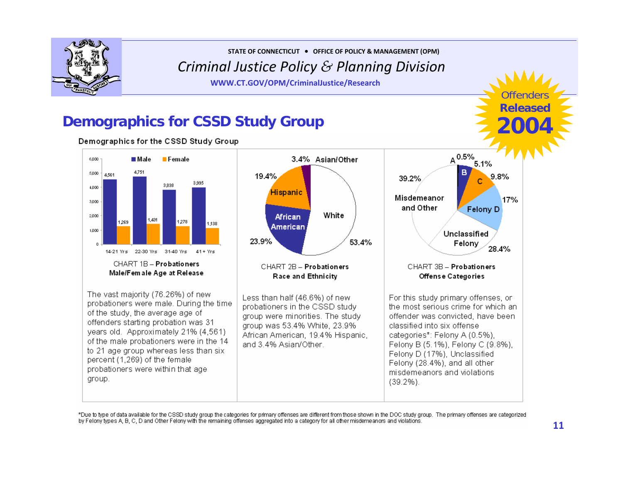

**WWW.CT.GOV/OPM/CriminalJustice/Research**

Offenders**Released2004**

## **Demographics for CSSD Study Group**

Demographics for the CSSD Study Group



\*Due to type of data available for the CSSD study group the categories for primary offenses are different from those shown in the DOC study group. The primary offenses are categorized by Felony types A, B, C, D and Other Felony with the remaining offenses aggregated into a category for all other misdemeanors and violations.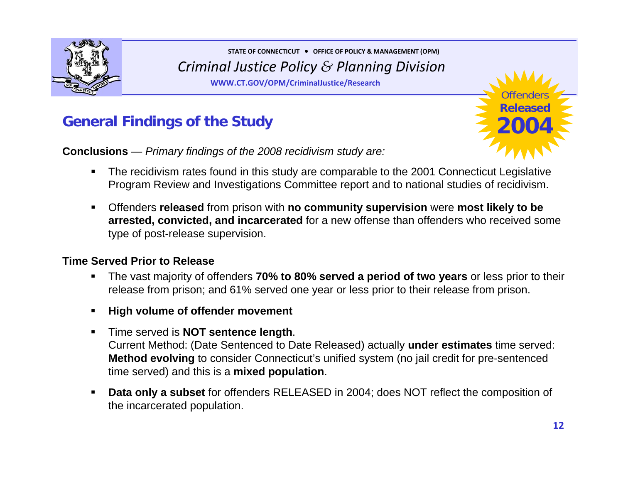

**WWW.CT.GOV/OPM/CriminalJustice/Research**



**Conclusions** — *Primary findings of the 2008 recidivism study are:*



- $\blacksquare$  The recidivism rates found in this study are comparable to the 2001 Connecticut Legislative Program Review and Investigations Committee report and to national studies of recidivism.
- $\blacksquare$  Offenders **released** from prison with **no community supervision** were **most likely to be arrested, convicted, and incarcerated** for a new offense than offenders who received some type of post-release supervision.

#### **Time Served Prior to Release**

- $\blacksquare$  The vast majority of offenders **70% to 80% served a period of two years** or less prior to their release from prison; and 61% served one year or less prior to their release from prison.
- $\blacksquare$ **High volume of offender movement**
- $\blacksquare$  Time served is **NOT sentence length**. Current Method: (Date Sentenced to Date Released) actually **under estimates** time served: **Method evolving** to consider Connecticut's unified system (no jail credit for pre-sentenced time served) and this is a **mixed population**.
- $\blacksquare$  **Data only a subset** for offenders RELEASED in 2004; does NOT reflect the composition of the incarcerated population.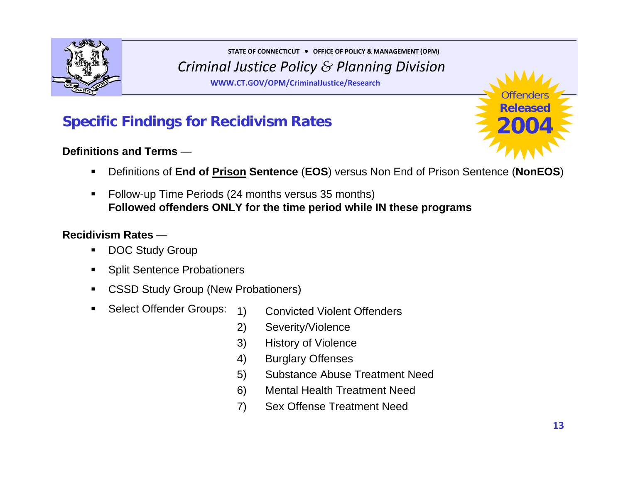

**WWW.CT.GOV/OPM/CriminalJustice/Research**

## **Specific Findings for Recidivism Rates**

#### **Definitions and Terms** —



- $\blacksquare$ Definitions of **End of Prison Sentence** (**EOS**) versus Non End of Prison Sentence (**NonEOS**)
- $\blacksquare$  Follow-up Time Periods (24 months versus 35 months) **Followed offenders ONLY for the time period while IN these programs**

#### **Recidivism Rates** —

 $\blacksquare$ 

- $\blacksquare$ DOC Study Group
- $\blacksquare$ Split Sentence Probationers
- $\blacksquare$  CSSD Study Group (New Probationers)
	- Select Offender Groups: 1) Convicted Violent Offenders
		- 2) Severity/Violence
		- 3) History of Violence
		- 4) Burglary Offenses
		- 5) Substance Abuse Treatment Need
		- 6) Mental Health Treatment Need
		- 7) Sex Offense Treatment Need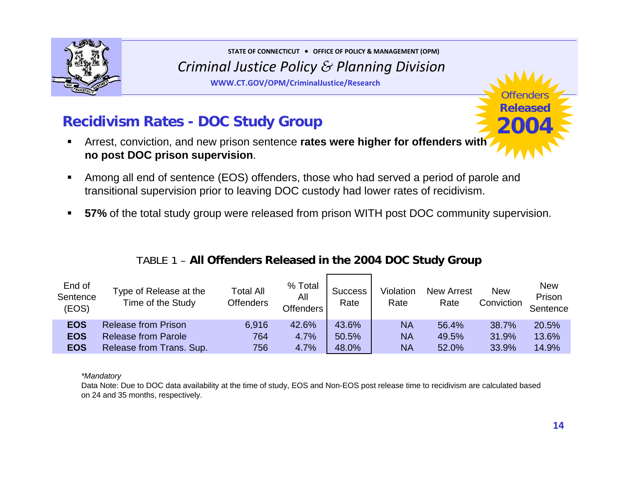

**WWW.CT.GOV/OPM/CriminalJustice/Research**



- П Arrest, conviction, and new prison sentence **rates were higher for offenders with no post DOC prison supervision**.
- $\blacksquare$  Among all end of sentence (EOS) offenders, those who had served a period of parole and transitional supervision prior to leaving DOC custody had lower rates of recidivism.
- $\blacksquare$ **57%** of the total study group were released from prison WITH post DOC community supervision.

| End of<br>Sentence<br>(EOS) | Type of Release at the<br>Time of the Study | <b>Total All</b><br><b>Offenders</b> | % Total<br>All<br><b>Offenders</b> | <b>Success</b><br>Rate | Violation<br>Rate | <b>New Arrest</b><br>Rate | <b>New</b><br>Conviction | <b>New</b><br>Prison<br>Sentence |
|-----------------------------|---------------------------------------------|--------------------------------------|------------------------------------|------------------------|-------------------|---------------------------|--------------------------|----------------------------------|
| <b>EOS</b>                  | <b>Release from Prison</b>                  | 6,916                                | 42.6%                              | 43.6%                  | <b>NA</b>         | 56.4%                     | 38.7%                    | 20.5%                            |
| <b>EOS</b>                  | <b>Release from Parole</b>                  | 764                                  | 4.7%                               | 50.5%                  | <b>NA</b>         | 49.5%                     | 31.9%                    | 13.6%                            |
| <b>EOS</b>                  | Release from Trans. Sup.                    | 756                                  | 4.7%                               | 48.0%                  | <b>NA</b>         | 52.0%                     | 33.9%                    | 14.9%                            |

#### TABLE 1 – **All Offenders Released in the 2004 DOC Study Group**

#### *\*Mandatory*

Data Note: Due to DOC data availability at the time of study, EOS and Non-EOS post release time to recidivism are calculated based on 24 and 35 months, respectively.

Offenders**Released**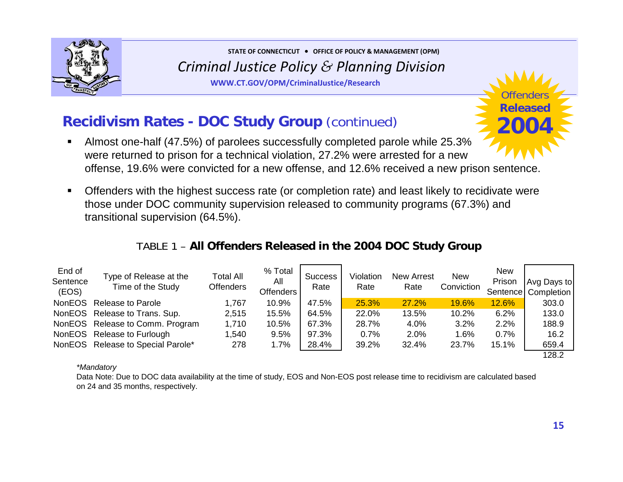

**WWW.CT.GOV/OPM/CriminalJustice/Research**

## **Recidivism Rates - DOC Study Group** (continued)

- П Almost one-half (47.5%) of parolees successfully completed parole while 25.3% were returned to prison for a technical violation, 27.2% were arrested for a new offense, 19.6% were convicted for a new offense, and 12.6% received a new prison sentence.
- $\blacksquare$  Offenders with the highest success rate (or completion rate) and least likely to recidivate were those under DOC community supervision released to community programs (67.3%) and transitional supervision (64.5%).

### TABLE 1 – **All Offenders Released in the 2004 DOC Study Group**

| End of<br>Sentence<br>(EOS) | Type of Release at the<br>Time of the Study | <b>Total All</b><br><b>Offenders</b> | % Total<br>All<br><b>Offenders</b> | <b>Success</b><br>Rate | Violation<br>Rate | <b>New Arrest</b><br>Rate | <b>New</b><br>Conviction | <b>New</b><br>Prison | Avg Days to<br>Sentence   Completion |
|-----------------------------|---------------------------------------------|--------------------------------------|------------------------------------|------------------------|-------------------|---------------------------|--------------------------|----------------------|--------------------------------------|
| <b>NonEOS</b>               | Release to Parole                           | 1,767                                | 10.9%                              | 47.5%                  | 25.3%             | 27.2%                     | 19.6%                    | <b>12.6%</b>         | 303.0                                |
|                             | NonEOS Release to Trans. Sup.               | 2,515                                | 15.5%                              | 64.5%                  | 22.0%             | 13.5%                     | 10.2%                    | 6.2%                 | 133.0                                |
|                             | NonEOS Release to Comm. Program             | 1,710                                | 10.5%                              | 67.3%                  | 28.7%             | 4.0%                      | 3.2%                     | 2.2%                 | 188.9                                |
| NonEOS                      | Release to Furlough                         | 1,540                                | 9.5%                               | 97.3%                  | 0.7%              | 2.0%                      | 1.6%                     | 0.7%                 | 16.2                                 |
|                             | NonEOS Release to Special Parole*           | 278                                  | 1.7%                               | 28.4%                  | 39.2%             | 32.4%                     | 23.7%                    | 15.1%                | 659.4                                |
|                             |                                             |                                      |                                    |                        |                   |                           |                          |                      | 128.2                                |

#### *\*Mandatory*

Data Note: Due to DOC data availability at the time of study, EOS and Non-EOS post release time to recidivism are calculated based on 24 and 35 months, respectively.

Offenders**Released**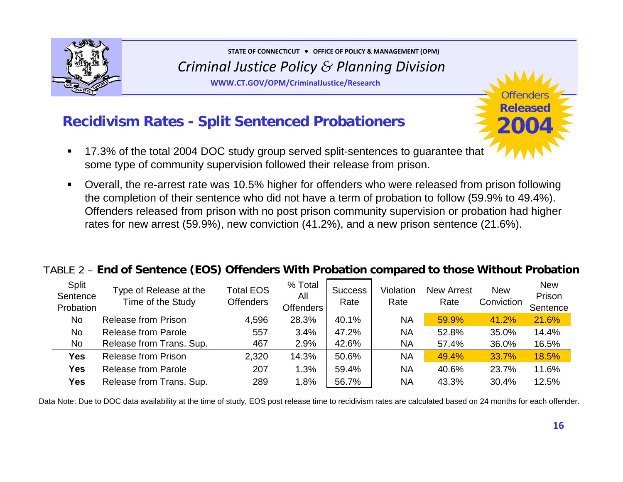

**WWW.CT.GOV/OPM/CriminalJustice/Research**

## **Recidivism Rates - Split Sentenced Probationers**

- $\blacksquare$  17.3% of the total 2004 DOC study group served split-sentences to guarantee that some type of community supervision followed their release from prison.
- $\blacksquare$  Overall, the re-arrest rate was 10.5% higher for offenders who were released from prison following the completion of their sentence who did not have a term of probation to follow (59.9% to 49.4%). Offenders released from prison with no post prison community supervision or probation had higher rates for new arrest (59.9%), new conviction (41.2%), and a new prison sentence (21.6%).

#### TABLE 2 – **End of Sentence (EOS) Offenders With Probation compared to those Without Probation**

| Split<br>Sentence<br>Probation | Type of Release at the<br>Time of the Study | <b>Total EOS</b><br><b>Offenders</b> | % Total<br>All<br><b>Offenders</b> | <b>Success</b><br>Rate | Violation<br>Rate | <b>New Arrest</b><br>Rate | <b>New</b><br>Conviction | <b>New</b><br>Prison<br>Sentence |
|--------------------------------|---------------------------------------------|--------------------------------------|------------------------------------|------------------------|-------------------|---------------------------|--------------------------|----------------------------------|
| <b>No</b>                      | <b>Release from Prison</b>                  | 4,596                                | 28.3%                              | 40.1%                  | <b>NA</b>         | 59.9%                     | 41.2%                    | 21.6%                            |
| <b>No</b>                      | <b>Release from Parole</b>                  | 557                                  | 3.4%                               | 47.2%                  | <b>NA</b>         | 52.8%                     | 35.0%                    | 14.4%                            |
| <b>No</b>                      | Release from Trans. Sup.                    | 467                                  | 2.9%                               | 42.6%                  | <b>NA</b>         | 57.4%                     | 36.0%                    | 16.5%                            |
| <b>Yes</b>                     | <b>Release from Prison</b>                  | 2,320                                | 14.3%                              | 50.6%                  | <b>NA</b>         | 49.4%                     | 33.7%                    | 18.5%                            |
| <b>Yes</b>                     | <b>Release from Parole</b>                  | 207                                  | 1.3%                               | 59.4%                  | <b>NA</b>         | 40.6%                     | 23.7%                    | 11.6%                            |
| <b>Yes</b>                     | Release from Trans. Sup.                    | 289                                  | 1.8%                               | 56.7%                  | <b>NA</b>         | 43.3%                     | 30.4%                    | 12.5%                            |

Data Note: Due to DOC data availability at the time of study, EOS post release time to recidivism rates are calculated based on 24 months for each offender.

Offenders**Released**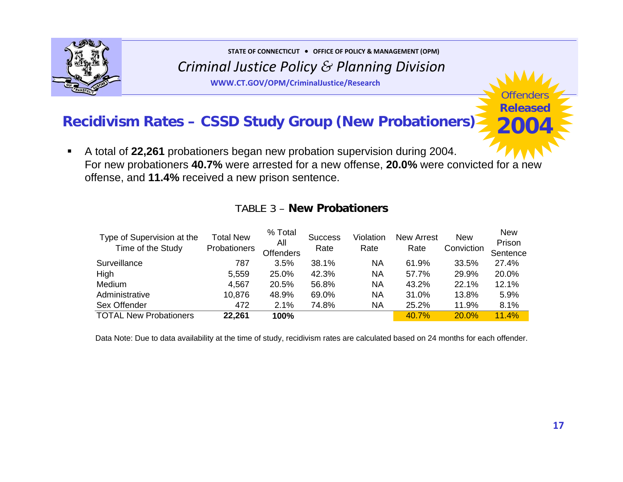

**STATE OF CONNECTICUT** <sup>y</sup> **OFFICE OF POLICY & MANAGEMENT (OPM)**

*Criminal Justice Policy & Planning Division*

**WWW.CT.GOV/OPM/CriminalJustice/Research**

## **Recidivism Rates – CSSD Study Group (New Probationers)**

 $\blacksquare$  A total of **22,261** probationers began new probation supervision during 2004. For new probationers **40.7%** were arrested for a new offense, **20.0%** were convicted for a new offense, and **11.4%** received a new prison sentence.

| Type of Supervision at the<br>Time of the Study | <b>Total New</b><br>Probationers | % Total<br>All<br><b>Offenders</b> | <b>Success</b><br>Rate | Violation<br>Rate | <b>New Arrest</b><br>Rate | <b>New</b><br>Conviction | <b>New</b><br>Prison<br>Sentence |
|-------------------------------------------------|----------------------------------|------------------------------------|------------------------|-------------------|---------------------------|--------------------------|----------------------------------|
| Surveillance                                    | 787                              | 3.5%                               | 38.1%                  | NA                | 61.9%                     | 33.5%                    | 27.4%                            |
| High                                            | 5,559                            | 25.0%                              | 42.3%                  | NA                | 57.7%                     | 29.9%                    | 20.0%                            |
| Medium                                          | 4,567                            | 20.5%                              | 56.8%                  | NA                | 43.2%                     | 22.1%                    | 12.1%                            |
| Administrative                                  | 10,876                           | 48.9%                              | 69.0%                  | NA                | 31.0%                     | 13.8%                    | 5.9%                             |
| Sex Offender                                    | 472                              | 2.1%                               | 74.8%                  | NA                | 25.2%                     | 11.9%                    | 8.1%                             |
| <b>TOTAL New Probationers</b>                   | 22,261                           | 100%                               |                        |                   | 40.7%                     | 20.0%                    | 11.4%                            |

#### TABLE 3 – **New Probationers**

Data Note: Due to data availability at the time of study, recidivism rates are calculated based on 24 months for each offender.

Offenders**Released**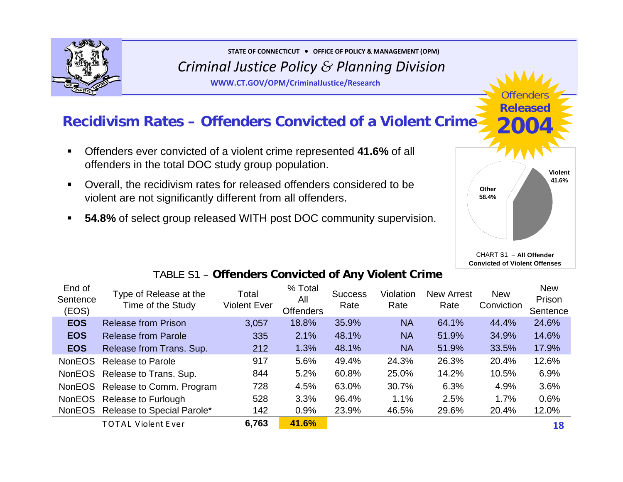

**WWW.CT.GOV/OPM/CriminalJustice/Research**

## **Recidivism Rates – Offenders Convicted of a Violent Crime**

- $\blacksquare$  Offenders ever convicted of a violent crime represented **41.6%** of all offenders in the total DOC study group population.
- $\blacksquare$  Overall, the recidivism rates for released offenders considered to be violent are not significantly different from all offenders.
- **54.8%** of select group released WITH post DOC community supervision.



Offenders**Released**

**2004**

**Convicted of Violent Offenses** 

### TABLE S1 – **Offenders Convicted of Any Violent Crime**

| End of<br>Sentence<br>(EOS) | Type of Release at the<br>Time of the Study | Total<br>Violent Ever | % Total<br>All<br><b>Offenders</b> | <b>Success</b><br>Rate | Violation<br>Rate | <b>New Arrest</b><br>Rate | <b>New</b><br>Conviction | <b>New</b><br>Prison<br>Sentence |
|-----------------------------|---------------------------------------------|-----------------------|------------------------------------|------------------------|-------------------|---------------------------|--------------------------|----------------------------------|
| <b>EOS</b>                  | <b>Release from Prison</b>                  | 3,057                 | 18.8%                              | 35.9%                  | <b>NA</b>         | 64.1%                     | 44.4%                    | 24.6%                            |
| <b>EOS</b>                  | <b>Release from Parole</b>                  | 335                   | 2.1%                               | 48.1%                  | <b>NA</b>         | 51.9%                     | 34.9%                    | 14.6%                            |
| <b>EOS</b>                  | Release from Trans. Sup.                    | 212                   | 1.3%                               | 48.1%                  | <b>NA</b>         | 51.9%                     | 33.5%                    | 17.9%                            |
| <b>NonEOS</b>               | <b>Release to Parole</b>                    | 917                   | 5.6%                               | 49.4%                  | 24.3%             | 26.3%                     | 20.4%                    | 12.6%                            |
|                             | NonEOS Release to Trans. Sup.               | 844                   | 5.2%                               | 60.8%                  | 25.0%             | 14.2%                     | 10.5%                    | 6.9%                             |
|                             | NonEOS Release to Comm. Program             | 728                   | 4.5%                               | 63.0%                  | 30.7%             | 6.3%                      | 4.9%                     | 3.6%                             |
|                             | NonEOS Release to Furlough                  | 528                   | 3.3%                               | 96.4%                  | 1.1%              | 2.5%                      | 1.7%                     | 0.6%                             |
| <b>NonEOS</b>               | Release to Special Parole*                  | 142                   | 0.9%                               | 23.9%                  | 46.5%             | 29.6%                     | 20.4%                    | 12.0%                            |
|                             | <b>TOTAL Violent Ever</b>                   | 6,763                 | 41.6%                              |                        |                   |                           |                          | 18                               |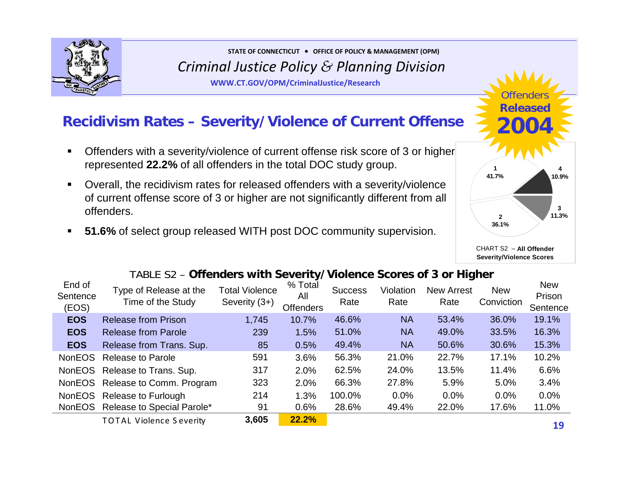

**WWW.CT.GOV/OPM/CriminalJustice/Research**

## **Recidivism Rates – Severity/Violence of Current Offense**

- $\blacksquare$  Offenders with a severity/violence of current offense risk score of 3 or higher represented **22.2%** of all offenders in the total DOC study group.
- $\blacksquare$  Overall, the recidivism rates for released offenders with a severity/violence of current offense score of 3 or higher are not significantly different from all offenders.
- $\blacksquare$ **51.6%** of select group released WITH post DOC community supervision.



#### **Severity/Violence Scores**

#### TABLE S2 – **Offenders with Severity/Violence Scores of 3 or Higher**

| End of<br>Sentence<br>(EOS) | Type of Release at the<br>Time of the Study | <b>Total Violence</b><br>Severity (3+) | % Total<br>All<br><b>Offenders</b> | <b>Success</b><br>Rate | Violation<br>Rate | <b>New Arrest</b><br>Rate | <b>New</b><br>Conviction | <b>New</b><br>Prison<br>Sentence |
|-----------------------------|---------------------------------------------|----------------------------------------|------------------------------------|------------------------|-------------------|---------------------------|--------------------------|----------------------------------|
| <b>EOS</b>                  | <b>Release from Prison</b>                  | 1,745                                  | 10.7%                              | 46.6%                  | <b>NA</b>         | 53.4%                     | 36.0%                    | 19.1%                            |
| <b>EOS</b>                  | <b>Release from Parole</b>                  | 239                                    | 1.5%                               | 51.0%                  | <b>NA</b>         | 49.0%                     | 33.5%                    | 16.3%                            |
| <b>EOS</b>                  | Release from Trans. Sup.                    | 85                                     | 0.5%                               | 49.4%                  | <b>NA</b>         | 50.6%                     | 30.6%                    | 15.3%                            |
| <b>NonEOS</b>               | <b>Release to Parole</b>                    | 591                                    | 3.6%                               | 56.3%                  | 21.0%             | 22.7%                     | 17.1%                    | 10.2%                            |
|                             | NonEOS Release to Trans. Sup.               | 317                                    | 2.0%                               | 62.5%                  | 24.0%             | 13.5%                     | 11.4%                    | 6.6%                             |
|                             | NonEOS Release to Comm. Program             | 323                                    | 2.0%                               | 66.3%                  | 27.8%             | 5.9%                      | 5.0%                     | 3.4%                             |
|                             | NonEOS Release to Furlough                  | 214                                    | 1.3%                               | 100.0%                 | 0.0%              | 0.0%                      | 0.0%                     | 0.0%                             |
|                             | NonEOS Release to Special Parole*           | 91                                     | 0.6%                               | 28.6%                  | 49.4%             | 22.0%                     | 17.6%                    | 11.0%                            |
|                             | <b>TOTAL Violence Severity</b>              | 3,605                                  | 22.2%                              |                        |                   |                           |                          | 1 Q                              |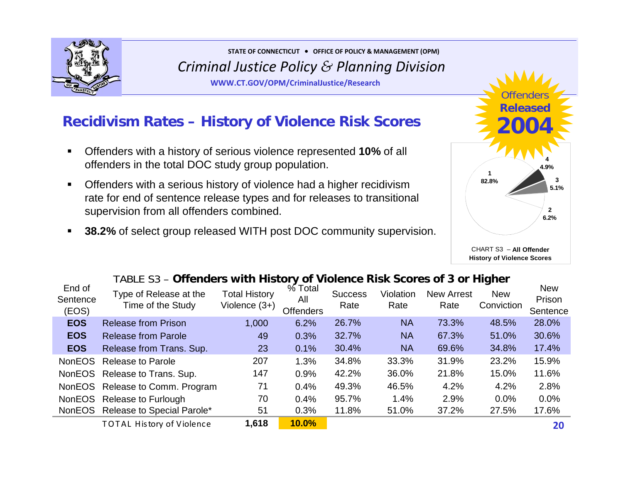

**WWW.CT.GOV/OPM/CriminalJustice/Research**

## **Recidivism Rates – History of Violence Risk Scores**

- $\blacksquare$  Offenders with a history of serious violence represented **10%** of all offenders in the total DOC study group population.
- $\blacksquare$  Offenders with a serious history of violence had a higher recidivism rate for end of sentence release types and for releases to transitional supervision from all offenders combined.
- $\blacksquare$ **38.2%** of select group released WITH post DOC community supervision.



CHART S3 – **All OffenderHistory of Violence Scores**

### TABLE S3 – **Offenders with History of Violence Risk Scores of 3 or Higher**

| End of<br>Sentence<br>(EOS) | Type of Release at the<br>Time of the Study | <b>Total History</b><br>Violence $(3+)$ | $%$ Total<br>All<br><b>Offenders</b> | <b>Success</b><br>Rate | Violation<br>Rate | <b>New Arrest</b><br>Rate | <b>New</b><br>Conviction | <b>New</b><br>Prison<br>Sentence |
|-----------------------------|---------------------------------------------|-----------------------------------------|--------------------------------------|------------------------|-------------------|---------------------------|--------------------------|----------------------------------|
| <b>EOS</b>                  | <b>Release from Prison</b>                  | 1,000                                   | 6.2%                                 | 26.7%                  | <b>NA</b>         | 73.3%                     | 48.5%                    | 28.0%                            |
| <b>EOS</b>                  | <b>Release from Parole</b>                  | 49                                      | 0.3%                                 | 32.7%                  | <b>NA</b>         | 67.3%                     | 51.0%                    | 30.6%                            |
| <b>EOS</b>                  | Release from Trans. Sup.                    | 23                                      | 0.1%                                 | 30.4%                  | <b>NA</b>         | 69.6%                     | 34.8%                    | 17.4%                            |
| <b>NonEOS</b>               | <b>Release to Parole</b>                    | 207                                     | 1.3%                                 | 34.8%                  | 33.3%             | 31.9%                     | 23.2%                    | 15.9%                            |
|                             | NonEOS Release to Trans. Sup.               | 147                                     | 0.9%                                 | 42.2%                  | 36.0%             | 21.8%                     | 15.0%                    | 11.6%                            |
|                             | NonEOS Release to Comm. Program             | 71                                      | 0.4%                                 | 49.3%                  | 46.5%             | 4.2%                      | 4.2%                     | 2.8%                             |
|                             | NonEOS Release to Furlough                  | 70                                      | 0.4%                                 | 95.7%                  | 1.4%              | 2.9%                      | 0.0%                     | 0.0%                             |
|                             | NonEOS Release to Special Parole*           | 51                                      | 0.3%                                 | 11.8%                  | 51.0%             | 37.2%                     | 27.5%                    | 17.6%                            |
|                             | <b>TOTAL History of Violence</b>            | 1,618                                   | 10.0%                                |                        |                   |                           |                          | 20                               |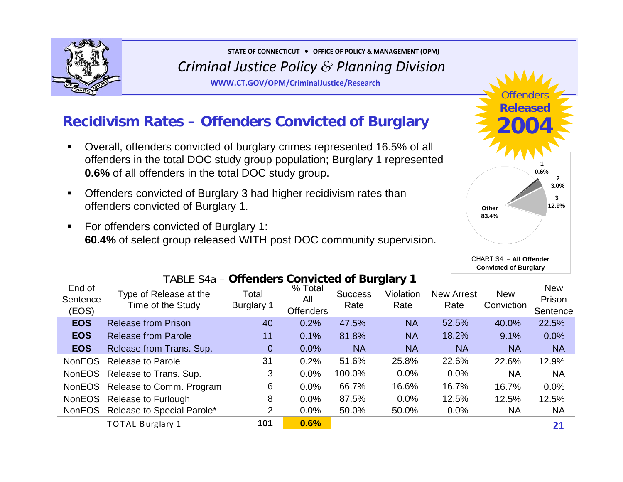

**WWW.CT.GOV/OPM/CriminalJustice/Research**

## **Recidivism Rates – Offenders Convicted of Burglary**

- $\blacksquare$  Overall, offenders convicted of burglary crimes represented 16.5% of all offenders in the total DOC study group population; Burglary 1 represented **0.6%** of all offenders in the total DOC study group.
- $\blacksquare$  Offenders convicted of Burglary 3 had higher recidivism rates than offenders convicted of Burglary 1.
- $\blacksquare$  For offenders convicted of Burglary 1: **60.4%** of select group released WITH post DOC community supervision.



**Convicted of Burglary** 

|                             | TABLE 548 – Offenders Convicted of Burgiary 1 |                     |                                    |                        |                   |                           |                          |                                  |
|-----------------------------|-----------------------------------------------|---------------------|------------------------------------|------------------------|-------------------|---------------------------|--------------------------|----------------------------------|
| End of<br>Sentence<br>(EOS) | Type of Release at the<br>Time of the Study   | Total<br>Burglary 1 | % Total<br>All<br><b>Offenders</b> | <b>Success</b><br>Rate | Violation<br>Rate | <b>New Arrest</b><br>Rate | <b>New</b><br>Conviction | <b>New</b><br>Prison<br>Sentence |
| <b>EOS</b>                  | <b>Release from Prison</b>                    | 40                  | 0.2%                               | 47.5%                  | <b>NA</b>         | 52.5%                     | 40.0%                    | 22.5%                            |
| <b>EOS</b>                  | <b>Release from Parole</b>                    | 11                  | 0.1%                               | 81.8%                  | <b>NA</b>         | 18.2%                     | 9.1%                     | 0.0%                             |
| <b>EOS</b>                  | Release from Trans. Sup.                      | $\mathbf{0}$        | 0.0%                               | <b>NA</b>              | <b>NA</b>         | <b>NA</b>                 | <b>NA</b>                | <b>NA</b>                        |
| <b>NonEOS</b>               | <b>Release to Parole</b>                      | 31                  | 0.2%                               | 51.6%                  | 25.8%             | 22.6%                     | 22.6%                    | 12.9%                            |
|                             | NonEOS Release to Trans. Sup.                 | 3                   | 0.0%                               | 100.0%                 | 0.0%              | 0.0%                      | <b>NA</b>                | <b>NA</b>                        |
|                             | NonEOS Release to Comm. Program               | 6                   | 0.0%                               | 66.7%                  | 16.6%             | 16.7%                     | 16.7%                    | 0.0%                             |
| NonEOS                      | Release to Furlough                           | 8                   | 0.0%                               | 87.5%                  | 0.0%              | 12.5%                     | 12.5%                    | 12.5%                            |
|                             | NonEOS Release to Special Parole*             | 2                   | 0.0%                               | 50.0%                  | 50.0%             | 0.0%                      | <b>NA</b>                | <b>NA</b>                        |
|                             | <b>TOTAL Burglary 1</b>                       | 101                 | 0.6%                               |                        |                   |                           |                          | 21                               |

#### TABLE S4a – **Offenders Convicted of Burglary 1**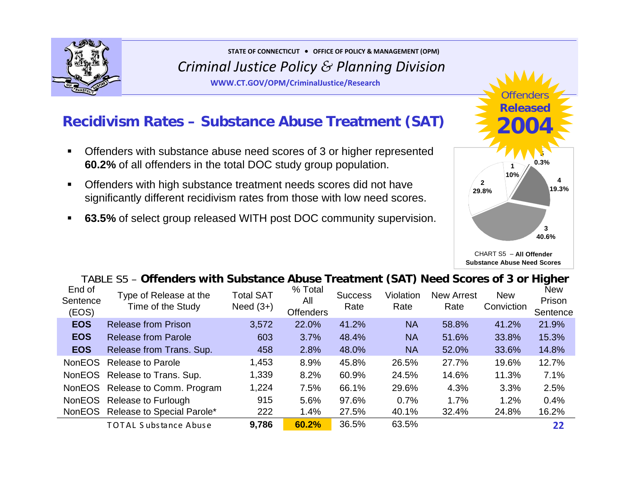

**WWW.CT.GOV/OPM/CriminalJustice/Research**

## **Recidivism Rates – Substance Abuse Treatment (SAT)**

- $\blacksquare$  Offenders with substance abuse need scores of 3 or higher represented **60.2%** of all offenders in the total DOC study group population.
- $\blacksquare$  Offenders with high substance treatment needs scores did not have significantly different recidivism rates from those with low need scores.
- **63.5%** of select group released WITH post DOC community supervision.



**Substance Abuse Need Scores**

### TABLE S5 – **Offenders with Substance Abuse Treatment (SAT) Need Scores of 3 or Higher**

| End of<br>Sentence<br>(EOS) | Type of Release at the<br>Time of the Study | <b>Total SAT</b><br>Need $(3+)$ | % Total<br>All<br><b>Offenders</b> | <b>Success</b><br>Rate | Violation<br>Rate | <b>New Arrest</b><br>Rate | <b>New</b><br>Conviction | <b>New</b><br>Prison<br>Sentence |
|-----------------------------|---------------------------------------------|---------------------------------|------------------------------------|------------------------|-------------------|---------------------------|--------------------------|----------------------------------|
| <b>EOS</b>                  | <b>Release from Prison</b>                  | 3,572                           | 22.0%                              | 41.2%                  | <b>NA</b>         | 58.8%                     | 41.2%                    | 21.9%                            |
| <b>EOS</b>                  | <b>Release from Parole</b>                  | 603                             | 3.7%                               | 48.4%                  | <b>NA</b>         | 51.6%                     | 33.8%                    | 15.3%                            |
| <b>EOS</b>                  | Release from Trans. Sup.                    | 458                             | 2.8%                               | 48.0%                  | <b>NA</b>         | 52.0%                     | 33.6%                    | 14.8%                            |
| <b>NonEOS</b>               | <b>Release to Parole</b>                    | 1,453                           | 8.9%                               | 45.8%                  | 26.5%             | 27.7%                     | 19.6%                    | 12.7%                            |
|                             | NonEOS Release to Trans. Sup.               | 1,339                           | 8.2%                               | 60.9%                  | 24.5%             | 14.6%                     | 11.3%                    | 7.1%                             |
|                             | NonEOS Release to Comm. Program             | 1,224                           | 7.5%                               | 66.1%                  | 29.6%             | 4.3%                      | 3.3%                     | 2.5%                             |
|                             | NonEOS Release to Furlough                  | 915                             | 5.6%                               | 97.6%                  | 0.7%              | 1.7%                      | 1.2%                     | 0.4%                             |
|                             | NonEOS Release to Special Parole*           | 222                             | 1.4%                               | 27.5%                  | 40.1%             | 32.4%                     | 24.8%                    | 16.2%                            |
|                             | <b>TOTAL Substance Abuse</b>                | 9,786                           | 60.2%                              | 36.5%                  | 63.5%             |                           |                          | 22                               |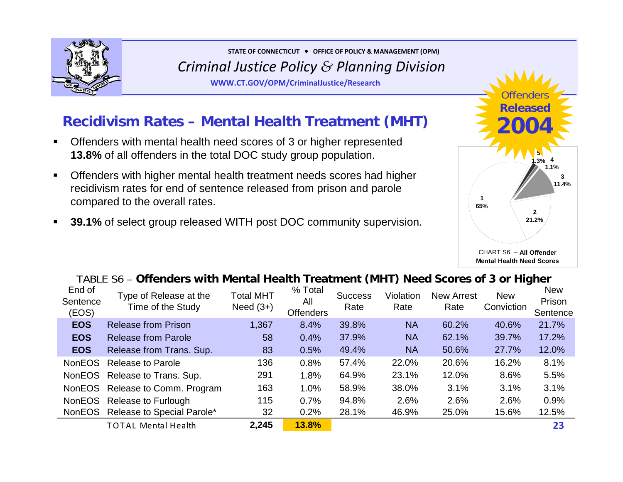

**WWW.CT.GOV/OPM/CriminalJustice/Research**

## **Recidivism Rates – Mental Health Treatment (MHT)**

- $\blacksquare$  Offenders with mental health need scores of 3 or higher represented **13.8%** of all offenders in the total DOC study group population.
- $\blacksquare$  Offenders with higher mental health treatment needs scores had higher recidivism rates for end of sentence released from prison and parole compared to the overall rates.
- $\blacksquare$ **39.1%** of select group released WITH post DOC community supervision.



TABLE S6 – **Offenders with Mental Health Treatment (MHT) Need Scores of 3 or Higher**

| End of<br>Sentence<br>(EOS) | Type of Release at the<br>Time of the Study | <b>Total MHT</b><br>Need $(3+)$ | % Total<br>All<br><b>Offenders</b> | <b>Success</b><br>Rate | Violation<br>Rate | <b>New Arrest</b><br>Rate | <b>New</b><br>Conviction | <b>New</b><br>Prison<br>Sentence |
|-----------------------------|---------------------------------------------|---------------------------------|------------------------------------|------------------------|-------------------|---------------------------|--------------------------|----------------------------------|
| <b>EOS</b>                  | <b>Release from Prison</b>                  | 1,367                           | 8.4%                               | 39.8%                  | <b>NA</b>         | 60.2%                     | 40.6%                    | 21.7%                            |
| <b>EOS</b>                  | <b>Release from Parole</b>                  | 58                              | 0.4%                               | 37.9%                  | <b>NA</b>         | 62.1%                     | 39.7%                    | 17.2%                            |
| <b>EOS</b>                  | Release from Trans. Sup.                    | 83                              | 0.5%                               | 49.4%                  | <b>NA</b>         | 50.6%                     | 27.7%                    | 12.0%                            |
| <b>NonEOS</b>               | <b>Release to Parole</b>                    | 136                             | 0.8%                               | 57.4%                  | 22.0%             | 20.6%                     | 16.2%                    | 8.1%                             |
|                             | NonEOS Release to Trans. Sup.               | 291                             | 1.8%                               | 64.9%                  | 23.1%             | 12.0%                     | 8.6%                     | 5.5%                             |
|                             | NonEOS Release to Comm. Program             | 163                             | 1.0%                               | 58.9%                  | 38.0%             | 3.1%                      | 3.1%                     | 3.1%                             |
|                             | NonEOS Release to Furlough                  | 115                             | 0.7%                               | 94.8%                  | 2.6%              | 2.6%                      | 2.6%                     | 0.9%                             |
|                             | NonEOS Release to Special Parole*           | 32                              | 0.2%                               | 28.1%                  | 46.9%             | 25.0%                     | 15.6%                    | 12.5%                            |
|                             | <b>TOTAL Mental Health</b>                  | 2,245                           | 13.8%                              |                        |                   |                           |                          | 23                               |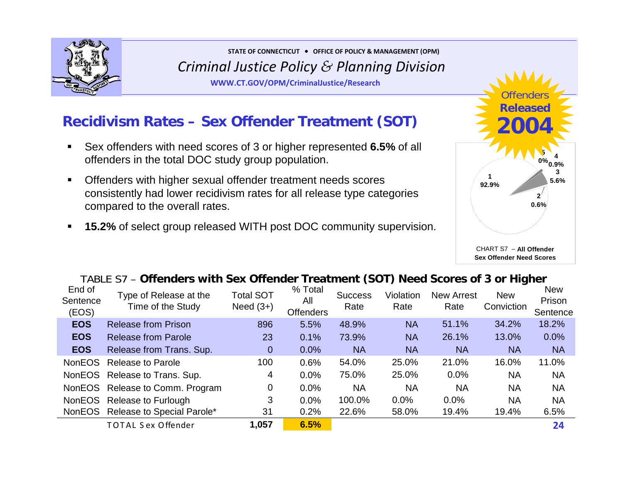

**WWW.CT.GOV/OPM/CriminalJustice/Research**

## **Recidivism Rates – Sex Offender Treatment (SOT)**

- $\blacksquare$  Sex offenders with need scores of 3 or higher represented **6.5%** of all offenders in the total DOC study group population.
- $\blacksquare$  Offenders with higher sexual offender treatment needs scores consistently had lower recidivism rates for all release type categories compared to the overall rates.
- $\blacksquare$ **15.2%** of select group released WITH post DOC community supervision.



### TABLE S7 – **Offenders with Sex Offender Treatment (SOT) Need Scores of 3 or Higher**

| End of<br>Sentence<br>(EOS) | Type of Release at the<br>Time of the Study | <b>Total SOT</b><br>Need $(3+)$ | % Total<br>All<br><b>Offenders</b> | <b>Success</b><br>Rate | Violation<br>Rate | <b>New Arrest</b><br>Rate | <b>New</b><br>Conviction | <b>New</b><br>Prison<br>Sentence |
|-----------------------------|---------------------------------------------|---------------------------------|------------------------------------|------------------------|-------------------|---------------------------|--------------------------|----------------------------------|
| <b>EOS</b>                  | <b>Release from Prison</b>                  | 896                             | 5.5%                               | 48.9%                  | <b>NA</b>         | 51.1%                     | 34.2%                    | 18.2%                            |
| <b>EOS</b>                  | <b>Release from Parole</b>                  | 23                              | 0.1%                               | 73.9%                  | <b>NA</b>         | 26.1%                     | 13.0%                    | 0.0%                             |
| <b>EOS</b>                  | Release from Trans. Sup.                    | $\overline{0}$                  | 0.0%                               | <b>NA</b>              | <b>NA</b>         | <b>NA</b>                 | <b>NA</b>                | <b>NA</b>                        |
| <b>NonEOS</b>               | <b>Release to Parole</b>                    | 100                             | 0.6%                               | 54.0%                  | 25.0%             | 21.0%                     | 16.0%                    | 11.0%                            |
|                             | NonEOS Release to Trans. Sup.               | 4                               | 0.0%                               | 75.0%                  | 25.0%             | 0.0%                      | <b>NA</b>                | <b>NA</b>                        |
|                             | NonEOS Release to Comm. Program             | 0                               | 0.0%                               | <b>NA</b>              | <b>NA</b>         | <b>NA</b>                 | <b>NA</b>                | <b>NA</b>                        |
|                             | NonEOS Release to Furlough                  | 3                               | 0.0%                               | 100.0%                 | 0.0%              | 0.0%                      | <b>NA</b>                | <b>NA</b>                        |
|                             | NonEOS Release to Special Parole*           | 31                              | 0.2%                               | 22.6%                  | 58.0%             | 19.4%                     | 19.4%                    | 6.5%                             |
|                             | <b>TOTAL Sex Offender</b>                   | 1,057                           | 6.5%                               |                        |                   |                           |                          | 24                               |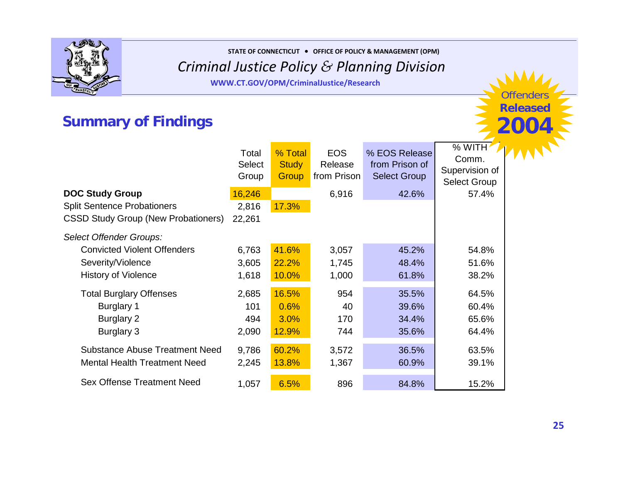

**STATE OF CONNECTICUT** <sup>y</sup> **OFFICE OF POLICY & MANAGEMENT (OPM)**

### *Criminal Justice Policy & Planning Division*

**WWW.CT.GOV/OPM/CriminalJustice/Research**

## **Summary of Findings**

|                                            | Total<br><b>Select</b><br>Group | % Total<br><b>Study</b><br>Group | <b>EOS</b><br>Release<br>from Prison | % EOS Release<br>from Prison of<br><b>Select Group</b> | % WITH $\sqrt{ }$<br>Comm.<br>Supervision of<br><b>Select Group</b> |
|--------------------------------------------|---------------------------------|----------------------------------|--------------------------------------|--------------------------------------------------------|---------------------------------------------------------------------|
| <b>DOC Study Group</b>                     | 16,246                          |                                  | 6,916                                | 42.6%                                                  | 57.4%                                                               |
| <b>Split Sentence Probationers</b>         | 2,816                           | 17.3%                            |                                      |                                                        |                                                                     |
| <b>CSSD Study Group (New Probationers)</b> | 22,261                          |                                  |                                      |                                                        |                                                                     |
| Select Offender Groups:                    |                                 |                                  |                                      |                                                        |                                                                     |
| <b>Convicted Violent Offenders</b>         | 6,763                           | 41.6%                            | 3,057                                | 45.2%                                                  | 54.8%                                                               |
| Severity/Violence                          | 3,605                           | 22.2%                            | 1,745                                | 48.4%                                                  | 51.6%                                                               |
| <b>History of Violence</b>                 | 1,618                           | 10.0%                            | 1,000                                | 61.8%                                                  | 38.2%                                                               |
| <b>Total Burglary Offenses</b>             | 2,685                           | 16.5%                            | 954                                  | 35.5%                                                  | 64.5%                                                               |
| <b>Burglary 1</b>                          | 101                             | 0.6%                             | 40                                   | 39.6%                                                  | 60.4%                                                               |
| Burglary 2                                 | 494                             | 3.0%                             | 170                                  | 34.4%                                                  | 65.6%                                                               |
| Burglary 3                                 | 2,090                           | 12.9%                            | 744                                  | 35.6%                                                  | 64.4%                                                               |
| <b>Substance Abuse Treatment Need</b>      | 9,786                           | 60.2%                            | 3,572                                | 36.5%                                                  | 63.5%                                                               |
| <b>Mental Health Treatment Need</b>        | 2,245                           | 13.8%                            | 1,367                                | 60.9%                                                  | 39.1%                                                               |
| <b>Sex Offense Treatment Need</b>          | 1,057                           | 6.5%                             | 896                                  | 84.8%                                                  | 15.2%                                                               |

Offenders**Released**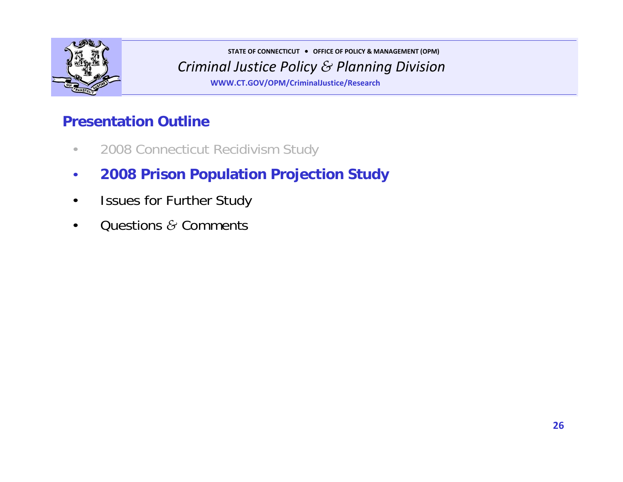

**WWW.CT.GOV/OPM/CriminalJustice/Research**

## **Presentation Outline**

- 2008 Connecticut Recidivism Study
- **2008 Prison Population Projection Study**
- Issues for Further Study
- Questions *&* Comments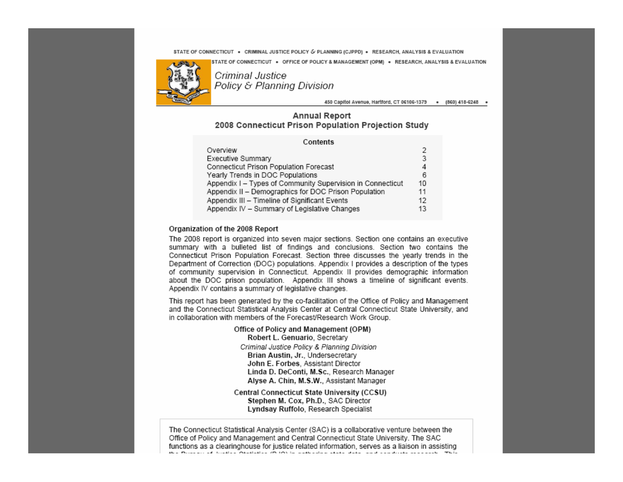**Criminal State of Connecticut • Office of Policy & Management (OPM) • Research, ANALYS**<br>5 **72** *Cuireanal Institute* 



**Policy & Planning Division** 

450 Capitol Avenue, Hartford, CT 06106-1379 . (860) 418-6248 .

#### **Annual Report** 2008 Connecticut Prison Population Projection Study

| Contents                                                   |    |
|------------------------------------------------------------|----|
| Overview                                                   | 2  |
| Executive Summary                                          | 3  |
| Connecticut Prison Population Forecast                     |    |
| Yearly Trends in DOC Populations                           | 6  |
| Appendix I - Types of Community Supervision in Connecticut | 10 |
| Appendix II - Demographics for DOC Prison Population       | 11 |
| Appendix III - Timeline of Significant Events              | 12 |
| Appendix IV - Summary of Legislative Changes               | 13 |

#### Organization of the 2008 Report

The 2008 report is organized into seven major sections. Section one contains an executive summary with a bulleted list of findings and conclusions. Section two contains the Connecticut Prison Population Forecast. Section three discusses the yearly trends in the Department of Correction (DOC) populations. Appendix I provides a description of the types of community supervision in Connecticut. Appendix II provides demographic information about the DOC prison population. Appendix III shows a timeline of significant events. Appendix IV contains a summary of legislative changes.

This report has been generated by the co-facilitation of the Office of Policy and Management and the Connecticut Statistical Analysis Center at Central Connecticut State University, and in collaboration with members of the Forecast/Research Work Group.

> Office of Policy and Management (OPM) Robert L. Genuario, Secretary Criminal Justice Policy & Planning Division Brian Austin, Jr., Undersecretary John E. Forbes, Assistant Director Linda D. DeConti, M.Sc., Research Manager Alyse A. Chin, M.S.W., Assistant Manager

**Central Connecticut State University (CCSU)** Stephen M. Cox, Ph.D., SAC Director Lyndsay Ruffolo, Research Specialist

The Connecticut Statistical Analysis Center (SAC) is a collaborative venture between the Office of Policy and Management and Central Connecticut State University. The SAC functions as a clearinghouse for justice related information, serves as a liaison in assisting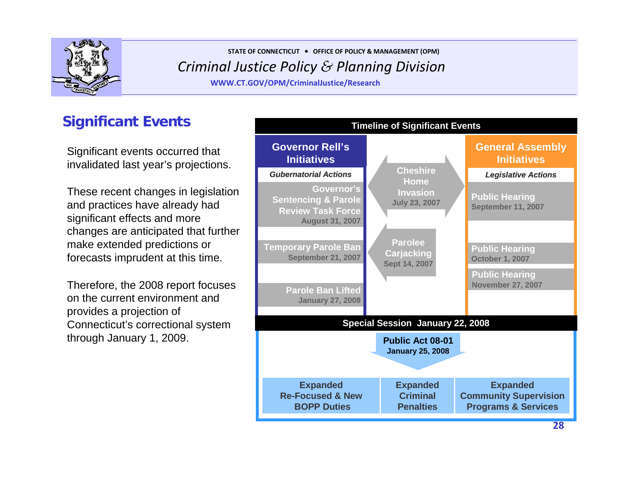

**WWW.CT.GOV/OPM/CriminalJustice/Research**

## **Significant Events**

Significant events occurred that invalidated last year's projections.

These recent changes in legislation and practices have already had significant effects and more changes are anticipated that further make extended predictions or forecasts imprudent at this time.

Therefore, the 2008 report focuses on the current environment and provides a projection of Connecticut's correctional system

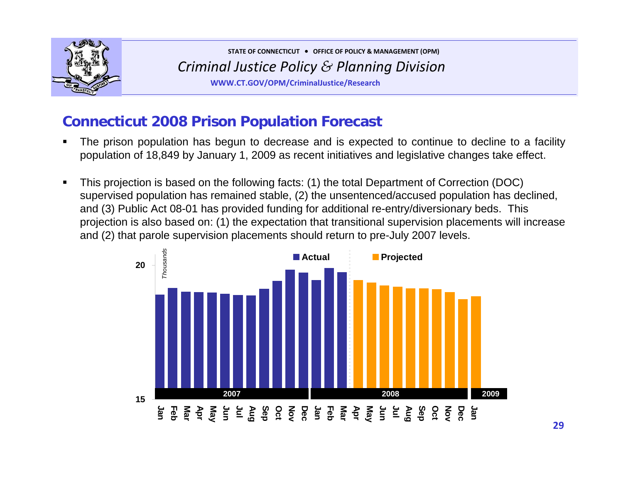

**WWW.CT.GOV/OPM/CriminalJustice/Research**

## **Connecticut 2008 Prison Population Forecast**

- П The prison population has begun to decrease and is expected to continue to decline to a facility population of 18,849 by January 1, 2009 as recent initiatives and legislative changes take effect.
- $\blacksquare$  This projection is based on the following facts: (1) the total Department of Correction (DOC) supervised population has remained stable, (2) the unsentenced/accused population has declined, and (3) Public Act 08-01 has provided funding for additional re-entry/diversionary beds. This projection is also based on: (1) the expectation that transitional supervision placements will increase and (2) that parole supervision placements should return to pre-July 2007 levels.

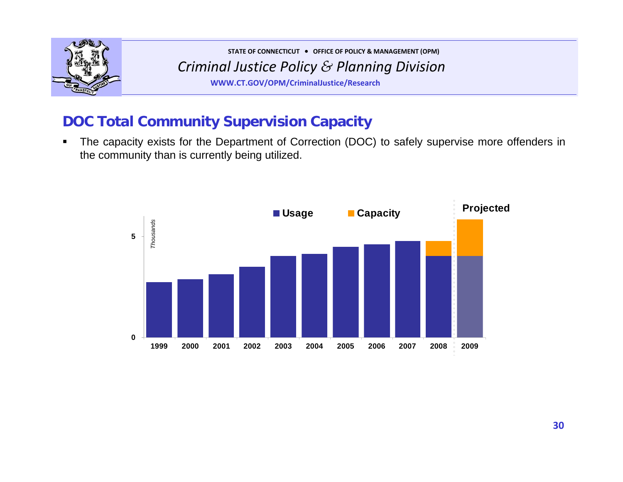

**WWW.CT.GOV/OPM/CriminalJustice/Research**

## **DOC Total Community Supervision Capacity**

 $\blacksquare$  The capacity exists for the Department of Correction (DOC) to safely supervise more offenders in the community than is currently being utilized.

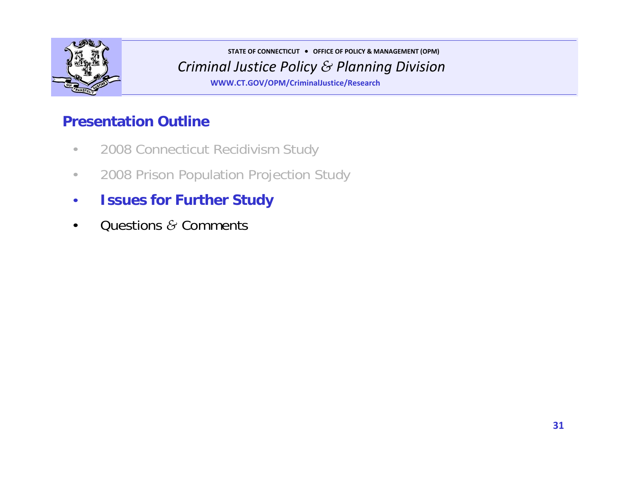

**WWW.CT.GOV/OPM/CriminalJustice/Research**

## **Presentation Outline**

- 2008 Connecticut Recidivism Study
- 2008 Prison Population Projection Study
- **Issues for Further Study**
- Questions *&* Comments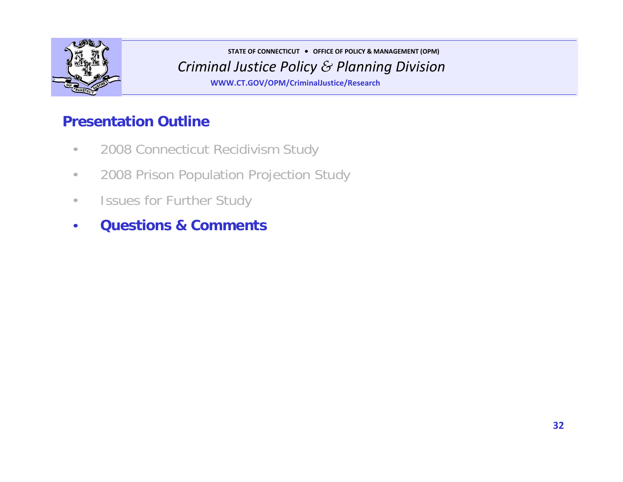

**WWW.CT.GOV/OPM/CriminalJustice/Research**

## **Presentation Outline**

- 2008 Connecticut Recidivism Study
- 2008 Prison Population Projection Study
- Issues for Further Study
- **Questions & Comments**